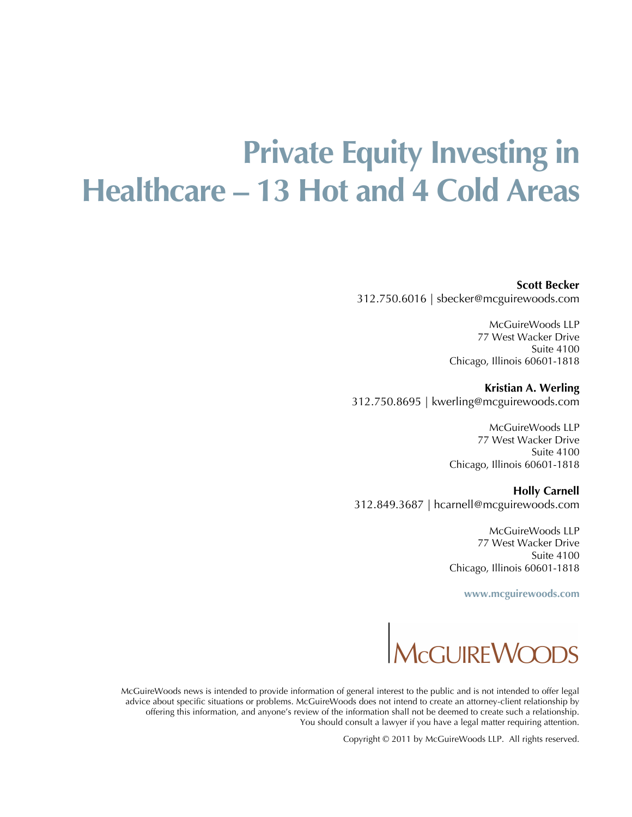## **Private Equity Investing in Healthcare – 13 Hot and 4 Cold Areas**

**Scott Becker**

312.750.6016 | sbecker@mcguirewoods.com

McGuireWoods LLP 77 West Wacker Drive Suite 4100 Chicago, Illinois 60601-1818

**Kristian A. Werling** 312.750.8695 | kwerling@mcguirewoods.com

> McGuireWoods LLP 77 West Wacker Drive Suite 4100 Chicago, Illinois 60601-1818

**Holly Carnell** 312.849.3687 | hcarnell@mcguirewoods.com

> McGuireWoods LLP 77 West Wacker Drive Suite 4100 Chicago, Illinois 60601-1818

> > **[www.mcguirewoods.co](http://www.mcguirewoods.com/)[m](www.mcguirewoods.com)**



McGuireWoods news is intended to provide information of general interest to the public and is not intended to offer legal advice about specific situations or problems. McGuireWoods does not intend to create an attorney-client relationship by offering this information, and anyone's review of the information shall not be deemed to create such a relationship. You should consult a lawyer if you have a legal matter requiring attention.

Copyright © 2011 by McGuireWoods LLP. All rights reserved.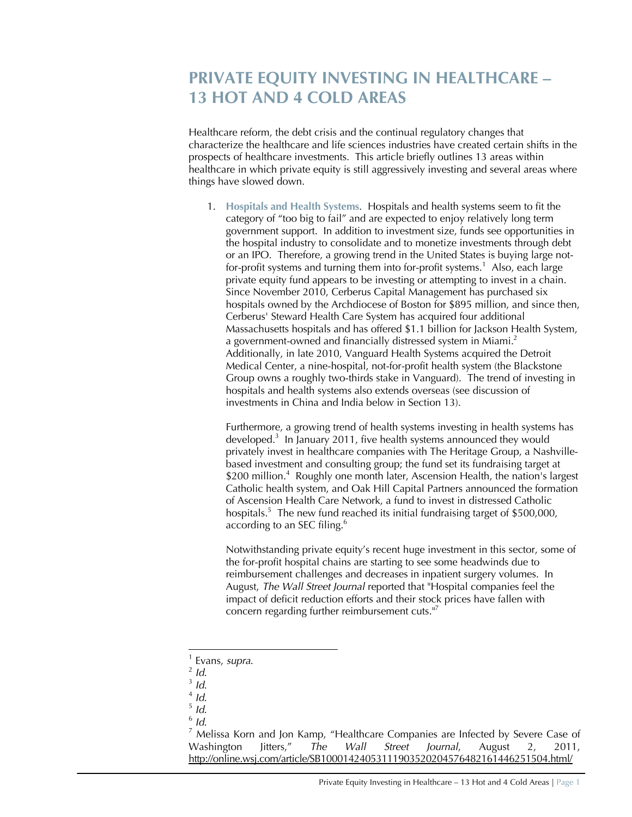## **PRIVATE EQUITY INVESTING IN HEALTHCARE – 13 HOT AND 4 COLD AREAS**

Healthcare reform, the debt crisis and the continual regulatory changes that characterize the healthcare and life sciences industries have created certain shifts in the prospects of healthcare investments. This article briefly outlines 13 areas within healthcare in which private equity is still aggressively investing and several areas where things have slowed down.

1. **Hospitals and Health Systems**. Hospitals and health systems seem to fit the category of "too big to fail" and are expected to enjoy relatively long term government support. In addition to investment size, funds see opportunities in the hospital industry to consolidate and to monetize investments through debt or an IPO. Therefore, a growing trend in the United States is buying large notfor-profit systems and turning them into for-profit systems.<sup>1</sup> Also, each large private equity fund appears to be investing or attempting to invest in a chain. Since November 2010, Cerberus Capital Management has purchased six hospitals owned by the Archdiocese of Boston for \$895 million, and since then, Cerberus' Steward Health Care System has acquired four additional Massachusetts hospitals and has offered \$1.1 billion for Jackson Health System, a government-owned and financially distressed system in Miami.<sup>2</sup> Additionally, in late 2010, Vanguard Health Systems acquired the Detroit Medical Center, a nine-hospital, not-for-profit health system (the Blackstone Group owns a roughly two-thirds stake in Vanguard). The trend of investing in hospitals and health systems also extends overseas (see discussion of investments in China and India below in Section 13).

Furthermore, a growing trend of health systems investing in health systems has developed.<sup>3</sup> In January 2011, five health systems announced they would privately invest in healthcare companies with The Heritage Group, a Nashvillebased investment and consulting group; the fund set its fundraising target at \$200 million.<sup>4</sup> Roughly one month later, Ascension Health, the nation's largest Catholic health system, and Oak Hill Capital Partners announced the formation of Ascension Health Care Network, a fund to invest in distressed Catholic hospitals.<sup>5</sup> The new fund reached its initial fundraising target of \$500,000, according to an SEC filing.<sup>6</sup>

Notwithstanding private equity's recent huge investment in this sector, some of the for-profit hospital chains are starting to see some headwinds due to reimbursement challenges and decreases in inpatient surgery volumes. In August, *The Wall Street Journal* reported that "Hospital companies feel the impact of deficit reduction efforts and their stock prices have fallen with concern regarding further reimbursement cuts.<sup>117</sup>

- 5 *Id*.
- 6 *Id*.

 $<sup>7</sup>$  Melissa Korn and Jon Kamp, "Healthcare Companies are Infected by Severe Case of</sup> Washington Jitters," *The Wall Street Journal*, August 2, 2011, <http://online.wsj.com/article/SB10001424053111903520204576482161446251504.html/>

<sup>1</sup> Evans, *supra*.

<sup>2</sup> *Id*.

<sup>3</sup> *Id*.

<sup>4</sup> *Id*.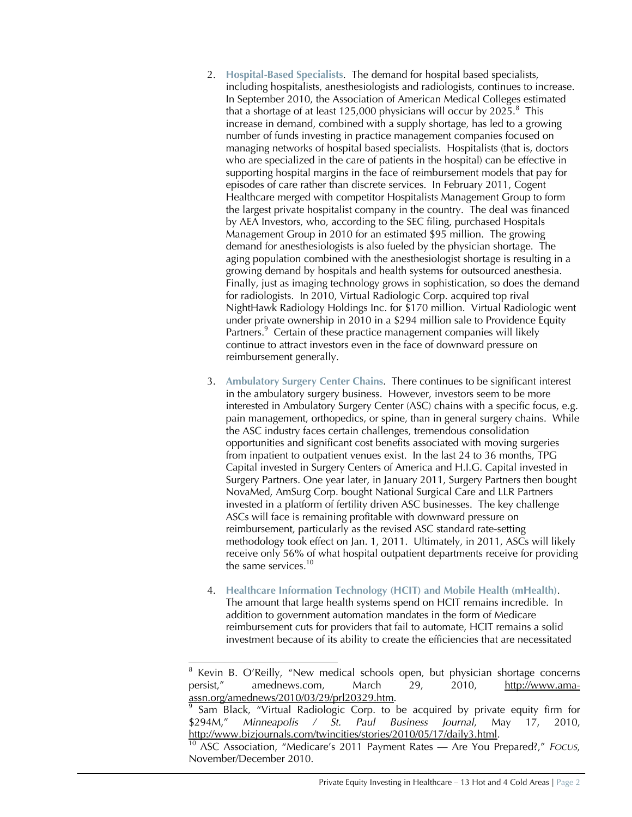- 2. **Hospital-Based Specialists**. The demand for hospital based specialists, including hospitalists, anesthesiologists and radiologists, continues to increase. In September 2010, the Association of American Medical Colleges estimated that a shortage of at least 125,000 physicians will occur by 2025. $8$  This increase in demand, combined with a supply shortage, has led to a growing number of funds investing in practice management companies focused on managing networks of hospital based specialists. Hospitalists (that is, doctors who are specialized in the care of patients in the hospital) can be effective in supporting hospital margins in the face of reimbursement models that pay for episodes of care rather than discrete services. In February 2011, Cogent Healthcare merged with competitor Hospitalists Management Group to form the largest private hospitalist company in the country. The deal was financed by AEA Investors, who, according to the SEC filing, purchased Hospitals Management Group in 2010 for an estimated \$95 million. The growing demand for anesthesiologists is also fueled by the physician shortage. The aging population combined with the anesthesiologist shortage is resulting in a growing demand by hospitals and health systems for outsourced anesthesia. Finally, just as imaging technology grows in sophistication, so does the demand for radiologists. In 2010, Virtual Radiologic Corp. acquired top rival NightHawk Radiology Holdings Inc. for \$170 million. Virtual Radiologic went under private ownership in 2010 in a \$294 million sale to Providence Equity Partners.<sup>9</sup> Certain of these practice management companies will likely continue to attract investors even in the face of downward pressure on reimbursement generally.
- 3. **Ambulatory Surgery Center Chains**. There continues to be significant interest in the ambulatory surgery business. However, investors seem to be more interested in Ambulatory Surgery Center (ASC) chains with a specific focus, e.g. pain management, orthopedics, or spine, than in general surgery chains. While the ASC industry faces certain challenges, tremendous consolidation opportunities and significant cost benefits associated with moving surgeries from inpatient to outpatient venues exist. In the last 24 to 36 months, TPG Capital invested in Surgery Centers of America and H.I.G. Capital invested in Surgery Partners. One year later, in January 2011, Surgery Partners then bought NovaMed, AmSurg Corp. bought National Surgical Care and LLR Partners invested in a platform of fertility driven ASC businesses. The key challenge ASCs will face is remaining profitable with downward pressure on reimbursement, particularly as the revised ASC standard rate-setting methodology took effect on Jan. 1, 2011. Ultimately, in 2011, ASCs will likely receive only 56% of what hospital outpatient departments receive for providing the same services.<sup>10</sup>
- 4. **Healthcare Information Technology (HCIT) and Mobile Health (mHealth)**. The amount that large health systems spend on HCIT remains incredible. In addition to government automation mandates in the form of Medicare reimbursement cuts for providers that fail to automate, HCIT remains a solid investment because of its ability to create the efficiencies that are necessitated

<sup>8</sup> Kevin B. O'Reilly, "New medical schools open, but physician shortage concerns persist," amednews.com, March 29, 2010, [http://](http://www.ama-)[www.ama](www.ama-)assn.org/amednews/2010/03/29/prl20329.htm.

<sup>9</sup> Sam Black, "Virtual Radiologic Corp. to be acquired by private equity firm for \$294M," *Minneapolis / St. Paul Business Journal*, May 17, 2010, [http://w](http://www.bizjournals.com/twincities/stories/2010/05/17/daily3.html)[ww.bizjournals.com/twincities/stories/2010/05/17/daily3.html.](www.bizjournals.com/twincities/stories/2010/05/17/daily3.html)

<sup>10</sup> ASC Association, "Medicare's 2011 Payment Rates — Are You Prepared?," *FOCUS*, November/December 2010.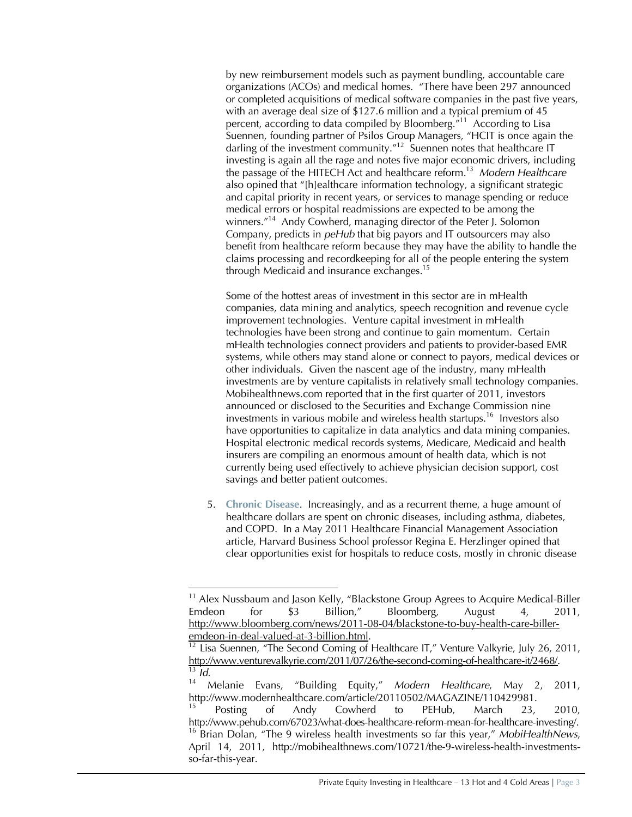by new reimbursement models such as payment bundling, accountable care organizations (ACOs) and medical homes. "There have been 297 announced or completed acquisitions of medical software companies in the past five years, with an average deal size of \$127.6 million and a typical premium of 45 percent, according to data compiled by Bloomberg."<sup>11</sup> According to Lisa Suennen, founding partner of Psilos Group Managers, "HCIT is once again the darling of the investment community."<sup>12</sup> Suennen notes that healthcare IT investing is again all the rage and notes five major economic drivers, including the passage of the HITECH Act and healthcare reform.<sup>13</sup> *Modern Healthcare* also opined that "[h]ealthcare information technology, a significant strategic and capital priority in recent years, or services to manage spending or reduce medical errors or hospital readmissions are expected to be among the winners."<sup>14</sup> Andy Cowherd, managing director of the Peter J. Solomon Company, predicts in *peHub* that big payors and IT outsourcers may also benefit from healthcare reform because they may have the ability to handle the claims processing and recordkeeping for all of the people entering the system through Medicaid and insurance exchanges.<sup>15</sup>

Some of the hottest areas of investment in this sector are in mHealth companies, data mining and analytics, speech recognition and revenue cycle improvement technologies. Venture capital investment in mHealth technologies have been strong and continue to gain momentum. Certain mHealth technologies connect providers and patients to provider-based EMR systems, while others may stand alone or connect to payors, medical devices or other individuals. Given the nascent age of the industry, many mHealth investments are by venture capitalists in relatively small technology companies. Mobihealthnews.com reported that in the first quarter of 2011, investors announced or disclosed to the Securities and Exchange Commission nine investments in various mobile and wireless health startups.<sup>16</sup> Investors also have opportunities to capitalize in data analytics and data mining companies. Hospital electronic medical records systems, Medicare, Medicaid and health insurers are compiling an enormous amount of health data, which is not currently being used effectively to achieve physician decision support, cost savings and better patient outcomes.

5. **Chronic Disease**. Increasingly, and as a recurrent theme, a huge amount of healthcare dollars are spent on chronic diseases, including asthma, diabetes, and COPD. In a May 2011 Healthcare Financial Management Association article, Harvard Business School professor Regina E. Herzlinger opined that clear opportunities exist for hospitals to reduce costs, mostly in chronic disease

<sup>&</sup>lt;sup>11</sup> Alex Nussbaum and Jason Kelly, "Blackstone Group Agrees to Acquire Medical-Biller Emdeon for \$3 Billion," Bloomberg, August 4, 2011, [http://w](http://www.bloomberg.com/news/2011-08-04/blackstone-to-buy-health-care-biller-)[ww.bloomberg.com/news/2011-08-04/blackstone-to-buy-health-care-biller](www.bloomberg.com/news/2011-08-04/blackstone-to-buy-health-care-biller-)emdeon-in-deal-valued-at-3-billion.html.

Lisa Suennen, "The Second Coming of Healthcare IT," Venture Valkyrie, July 26, 2011, [http://](http://www.venturevalkyrie.com/2011/07/26/the-second-coming-of-healthcare-it/2468/)<www.venturevalkyrie.com/2011/07/26/the-second-coming-of-healthcare-it/2468/>.  $\frac{13}{14}$  *Id.* 

<sup>14</sup> Melanie Evans, "Building Equity," *Modern Healthcare*, May 2, 2011, [http://w](http://www.modernhealthcare.com/article/20110502/MAGAZINE/110429981.)[ww.modernhealthcare.com/article/20110502/MAGAZINE/110429981.](www.modernhealthcare.com/article/20110502/MAGAZINE/110429981.) 

<sup>&</sup>lt;sup>15</sup> Posting of Andy Cowherd to PEHub, March 23, 2010, [http://](http://www.pehub.com/67023/what-does-healthcare-reform-mean-for-healthcare-investing/.)<www.pehub.com/67023/what-does-healthcare-reform-mean-for-healthcare-investing/.> <sup>16</sup> Brian Dolan, "The 9 wireless health investments so far this year," *MobiHealthNews*, April 14, 2011, [http://mobihealthnews.com/10721/the-9-wireless-health-investments](http://mobihealthnews.com/10721/the-9-wireless-health-investments-)so-far-this-year.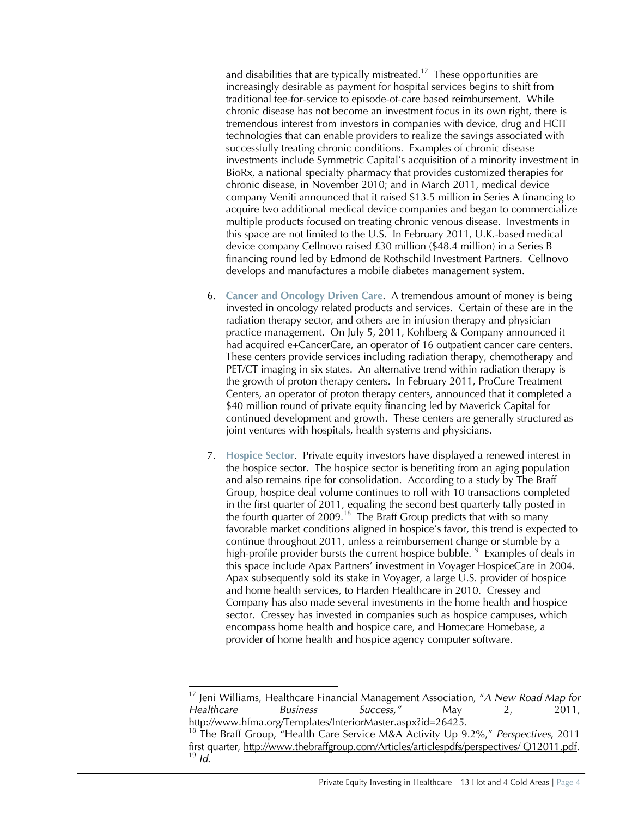and disabilities that are typically mistreated.<sup>17</sup> These opportunities are increasingly desirable as payment for hospital services begins to shift from traditional fee-for-service to episode-of-care based reimbursement. While chronic disease has not become an investment focus in its own right, there is tremendous interest from investors in companies with device, drug and HCIT technologies that can enable providers to realize the savings associated with successfully treating chronic conditions. Examples of chronic disease investments include Symmetric Capital's acquisition of a minority investment in BioRx, a national specialty pharmacy that provides customized therapies for chronic disease, in November 2010; and in March 2011, medical device company Veniti announced that it raised \$13.5 million in Series A financing to acquire two additional medical device companies and began to commercialize multiple products focused on treating chronic venous disease. Investments in this space are not limited to the U.S. In February 2011, U.K.-based medical device company Cellnovo raised £30 million (\$48.4 million) in a Series B financing round led by Edmond de Rothschild Investment Partners. Cellnovo develops and manufactures a mobile diabetes management system.

- 6. **Cancer and Oncology Driven Care**. A tremendous amount of money is being invested in oncology related products and services. Certain of these are in the radiation therapy sector, and others are in infusion therapy and physician practice management. On July 5, 2011, Kohlberg & Company announced it had acquired e+CancerCare, an operator of 16 outpatient cancer care centers. These centers provide services including radiation therapy, chemotherapy and PET/CT imaging in six states. An alternative trend within radiation therapy is the growth of proton therapy centers. In February 2011, ProCure Treatment Centers, an operator of proton therapy centers, announced that it completed a \$40 million round of private equity financing led by Maverick Capital for continued development and growth. These centers are generally structured as joint ventures with hospitals, health systems and physicians.
- 7. **Hospice Sector**. Private equity investors have displayed a renewed interest in the hospice sector. The hospice sector is benefiting from an aging population and also remains ripe for consolidation. According to a study by The Braff Group, hospice deal volume continues to roll with 10 transactions completed in the first quarter of 2011, equaling the second best quarterly tally posted in the fourth quarter of 2009.<sup>18</sup> The Braff Group predicts that with so many favorable market conditions aligned in hospice's favor, this trend is expected to continue throughout 2011, unless a reimbursement change or stumble by a high-profile provider bursts the current hospice bubble.<sup>19</sup> Examples of deals in this space include Apax Partners' investment in Voyager HospiceCare in 2004. Apax subsequently sold its stake in Voyager, a large U.S. provider of hospice and home health services, to Harden Healthcare in 2010. Cressey and Company has also made several investments in the home health and hospice sector. Cressey has invested in companies such as hospice campuses, which encompass home health and hospice care, and Homecare Homebase, a provider of home health and hospice agency computer software.

<sup>17</sup> Jeni Williams, Healthcare Financial Management Association, "*A New Road Map for Healthcare Business Success,"* May 2, 2011, [http://w](http://www.hfma.org/Templates/InteriorMaster.aspx?id=26425.)[ww.hfma.org/Templates/InteriorMaster.aspx?id=26425.](www.hfma.org/Templates/InteriorMaster.aspx?id=26425.)

<sup>18</sup> The Braff Group, "Health Care Service M&A Activity Up 9.2%," *Perspectives*, 2011 first quarter, [http://](http://www.thebraffgroup.com/Articles/articlespdfs/perspectives/)<www.thebraffgroup.com/Articles/articlespdfs/perspectives/> Q12011.pdf. <sup>19</sup> *Id*.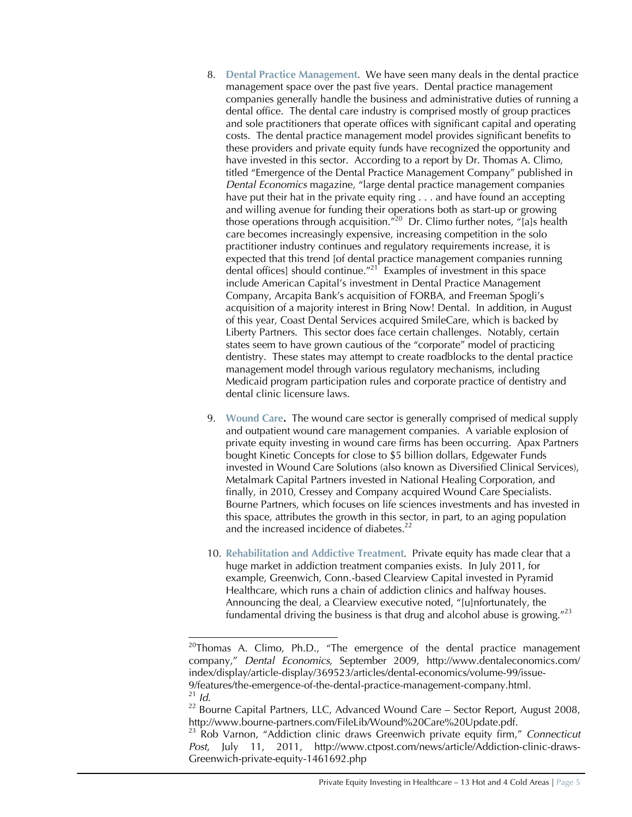- 8. **Dental Practice Management**. We have seen many deals in the dental practice management space over the past five years. Dental practice management companies generally handle the business and administrative duties of running a dental office. The dental care industry is comprised mostly of group practices and sole practitioners that operate offices with significant capital and operating costs. The dental practice management model provides significant benefits to these providers and private equity funds have recognized the opportunity and have invested in this sector. According to a report by Dr. Thomas A. Climo, titled "Emergence of the Dental Practice Management Company" published in *Dental Economics* magazine, "large dental practice management companies have put their hat in the private equity ring . . . and have found an accepting and willing avenue for funding their operations both as start-up or growing those operations through acquisition."<sup>20</sup> Dr. Climo further notes, "[a]s health care becomes increasingly expensive, increasing competition in the solo practitioner industry continues and regulatory requirements increase, it is expected that this trend [of dental practice management companies running dental offices] should continue. $^{\prime\prime}$ <sup>21</sup> Examples of investment in this space include American Capital's investment in Dental Practice Management Company, Arcapita Bank's acquisition of FORBA, and Freeman Spogli's acquisition of a majority interest in Bring Now! Dental. In addition, in August of this year, Coast Dental Services acquired SmileCare, which is backed by Liberty Partners. This sector does face certain challenges. Notably, certain states seem to have grown cautious of the "corporate" model of practicing dentistry. These states may attempt to create roadblocks to the dental practice management model through various regulatory mechanisms, including Medicaid program participation rules and corporate practice of dentistry and dental clinic licensure laws.
- 9. **Wound Care.** The wound care sector is generally comprised of medical supply and outpatient wound care management companies. A variable explosion of private equity investing in wound care firms has been occurring. Apax Partners bought Kinetic Concepts for close to \$5 billion dollars, Edgewater Funds invested in Wound Care Solutions (also known as Diversified Clinical Services), Metalmark Capital Partners invested in National Healing Corporation, and finally, in 2010, Cressey and Company acquired Wound Care Specialists. Bourne Partners, which focuses on life sciences investments and has invested in this space, attributes the growth in this sector, in part, to an aging population and the increased incidence of diabetes.<sup>22</sup>
- 10. **Rehabilitation and Addictive Treatment**. Private equity has made clear that a huge market in addiction treatment companies exists. In July 2011, for example, Greenwich, Conn.-based Clearview Capital invested in Pyramid Healthcare, which runs a chain of addiction clinics and halfway houses. Announcing the deal, a Clearview executive noted, "[u]nfortunately, the fundamental driving the business is that drug and alcohol abuse is growing."<sup>23</sup>

<sup>&</sup>lt;sup>20</sup>Thomas A. Climo, Ph.D., "The emergence of the dental practice management company," *Dental Economics*, September 2009, [http://](http://www.dentaleconomics.com/)<www.dentaleconomics.com/> index/display/article-display/369523/articles/dental-economics/volume-99/issue-9/features/the-emergence-of-the-dental-practice-management-company.html. <sup>21</sup> *Id.*

 $22$  Bourne Capital Partners, LLC, Advanced Wound Care – Sector Report, August 2008, [http://w](http://www.bourne-partners.com/FileLib/Wound%20Care%20Update.pdf.)[ww.bourne-partners.com/FileLib/Wound%20Care%20Update.pdf.](www.bourne-partners.com/FileLib/Wound%20Care%20Update.pdf.)

<sup>23</sup> Rob Varnon, "Addiction clinic draws Greenwich private equity firm," *Connecticut Post*, July 11, 2011, [http://w](http://www.ctpost.com/news/article/Addiction-clinic-draws-)[ww.ctpost.com/news/article/Addiction-clinic-draws-](www.ctpost.com/news/article/Addiction-clinic-draws-)Greenwich-private-equity-1461692.php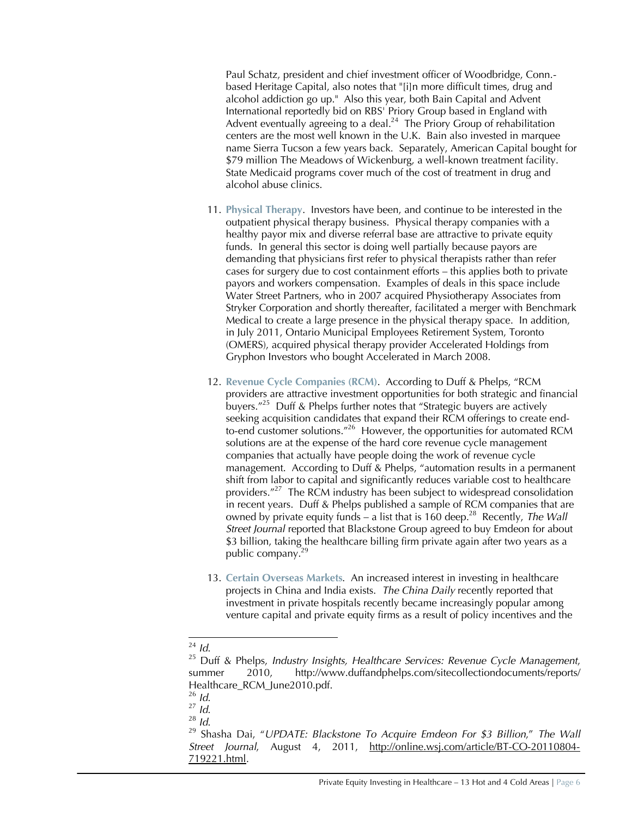Paul Schatz, president and chief investment officer of Woodbridge, Conn. based Heritage Capital, also notes that "[i]n more difficult times, drug and alcohol addiction go up." Also this year, both Bain Capital and Advent International reportedly bid on RBS' Priory Group based in England with Advent eventually agreeing to a deal.<sup>24</sup> The Priory Group of rehabilitation centers are the most well known in the U.K. Bain also invested in marquee name Sierra Tucson a few years back. Separately, American Capital bought for \$79 million The Meadows of Wickenburg, a well-known treatment facility. State Medicaid programs cover much of the cost of treatment in drug and alcohol abuse clinics.

- 11. **Physical Therapy**. Investors have been, and continue to be interested in the outpatient physical therapy business. Physical therapy companies with a healthy payor mix and diverse referral base are attractive to private equity funds. In general this sector is doing well partially because payors are demanding that physicians first refer to physical therapists rather than refer cases for surgery due to cost containment efforts – this applies both to private payors and workers compensation. Examples of deals in this space include Water Street Partners, who in 2007 acquired Physiotherapy Associates from Stryker Corporation and shortly thereafter, facilitated a merger with Benchmark Medical to create a large presence in the physical therapy space. In addition, in July 2011, Ontario Municipal Employees Retirement System, Toronto (OMERS), acquired physical therapy provider Accelerated Holdings from Gryphon Investors who bought Accelerated in March 2008.
- 12. **Revenue Cycle Companies (RCM)**. According to Duff & Phelps, "RCM providers are attractive investment opportunities for both strategic and financial buyers."<sup>25</sup> Duff & Phelps further notes that "Strategic buyers are actively seeking acquisition candidates that expand their RCM offerings to create endto-end customer solutions.<sup>"26</sup> However, the opportunities for automated RCM solutions are at the expense of the hard core revenue cycle management companies that actually have people doing the work of revenue cycle management. According to Duff & Phelps, "automation results in a permanent shift from labor to capital and significantly reduces variable cost to healthcare providers."<sup>27</sup> The RCM industry has been subject to widespread consolidation in recent years. Duff & Phelps published a sample of RCM companies that are owned by private equity funds – a list that is 160 deep.<sup>28</sup> Recently, *The Wall Street Journal* reported that Blackstone Group agreed to buy Emdeon for about \$3 billion, taking the healthcare billing firm private again after two years as a public company.<sup>29</sup>
- 13. **Certain Overseas Markets**. An increased interest in investing in healthcare projects in China and India exists. *The China Daily* recently reported that investment in private hospitals recently became increasingly popular among venture capital and private equity firms as a result of policy incentives and the

<sup>24</sup> *Id*.

<sup>25</sup> Duff & Phelps, *Industry Insights, Healthcare Services: Revenue Cycle Management*, summer 2010, [http://](http://www.duffandphelps.com/sitecollectiondocuments/reports/)<www.duffandphelps.com/sitecollectiondocuments/reports/> Healthcare\_RCM\_June2010.pdf.

<sup>26</sup> *Id*.

<sup>27</sup> *Id*.

<sup>28</sup> *Id*.

<sup>29</sup> Shasha Dai, "*UPDATE: Blackstone To Acquire Emdeon For \$3 Billion*," *The Wall Street Journal*, August 4, 2011, <http://online.wsj.com/article/BT-CO-20110804-> 719221.html.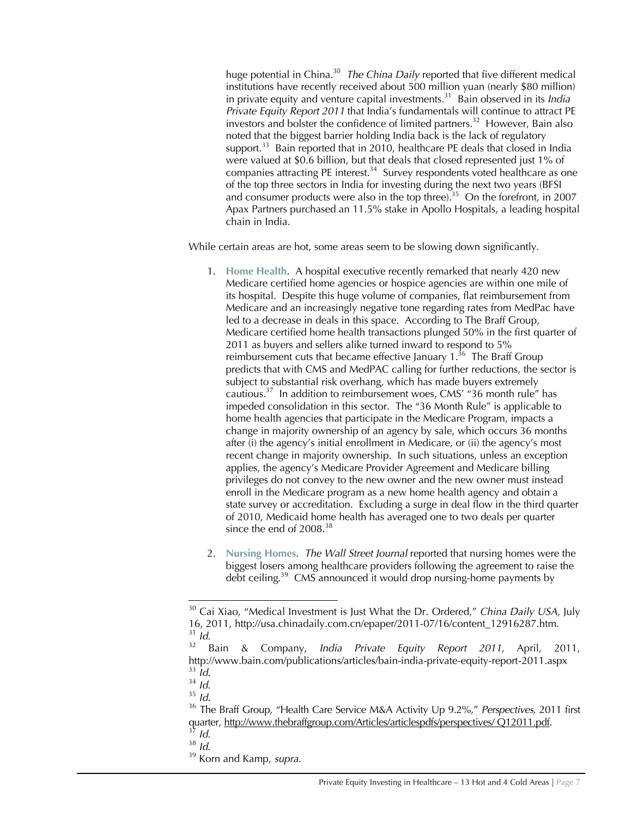huge potential in China.<sup>30</sup> *The China Daily* reported that five different medical institutions have recently received about 500 million yuan (nearly \$80 million) in private equity and venture capital investments.<sup>31</sup> Bain observed in its *India Private Equity Report 2011* that India's fundamentals will continue to attract PE investors and bolster the confidence of limited partners.<sup>32</sup> However, Bain also noted that the biggest barrier holding India back is the lack of regulatory support.<sup>33</sup> Bain reported that in 2010, healthcare PE deals that closed in India were valued at \$0.6 billion, but that deals that closed represented just 1% of companies attracting PE interest. $34$  Survey respondents voted healthcare as one of the top three sectors in India for investing during the next two years (BFSI and consumer products were also in the top three).<sup>35</sup> On the forefront, in 2007 Apax Partners purchased an 11.5% stake in Apollo Hospitals, a leading hospital chain in India.

While certain areas are hot, some areas seem to be slowing down significantly.

- 1. **Home Health**. A hospital executive recently remarked that nearly 420 new Medicare certified home agencies or hospice agencies are within one mile of its hospital. Despite this huge volume of companies, flat reimbursement from Medicare and an increasingly negative tone regarding rates from MedPac have led to a decrease in deals in this space. According to The Braff Group, Medicare certified home health transactions plunged 50% in the first quarter of 2011 as buyers and sellers alike turned inward to respond to 5% reimbursement cuts that became effective January  $1^{36}$  The Braff Group predicts that with CMS and MedPAC calling for further reductions, the sector is subject to substantial risk overhang, which has made buyers extremely cautious.<sup>37</sup> In addition to reimbursement woes, CMS' "36 month rule" has impeded consolidation in this sector. The "36 Month Rule" is applicable to home health agencies that participate in the Medicare Program, impacts a change in majority ownership of an agency by sale, which occurs 36 months after (i) the agency's initial enrollment in Medicare, or (ii) the agency's most recent change in majority ownership. In such situations, unless an exception applies, the agency's Medicare Provider Agreement and Medicare billing privileges do not convey to the new owner and the new owner must instead enroll in the Medicare program as a new home health agency and obtain a state survey or accreditation. Excluding a surge in deal flow in the third quarter of 2010, Medicaid home health has averaged one to two deals per quarter since the end of  $2008.<sup>38</sup>$
- 2. **Nursing Homes**. *The Wall Street Journal* reported that nursing homes were the biggest losers among healthcare providers following the agreement to raise the debt ceiling.<sup>39</sup> CMS announced it would drop nursing-home payments by

<sup>38</sup> *Id*.

<sup>&</sup>lt;sup>30</sup> Cai Xiao, "Medical Investment is Just What the Dr. Ordered," *China Daily USA*, July 16, 2011, [http://usa.chinadaily.com.cn/epaper/2011-07/16/content\\_12916287.htm.](http://usa.chinadaily.com.cn/epaper/2011-07/16/content_12916287.htm.)  $rac{31}{32}$  *Id.* 

<sup>32</sup> Bain & Company, *India Private Equity Report 2011*, April, 2011, [http://w](http://www.bain.com/publications/articles/bain-india-private-equity-report-2011.aspx)[ww.bain.com/publications/articles/bain-india-private-equity-report-2011.aspx](www.bain.com/publications/articles/bain-india-private-equity-report-2011.aspx) <sup>33</sup> *Id*.

<sup>34</sup> *Id*.

<sup>35</sup> *Id*.

<sup>36</sup> The Braff Group, "Health Care Service M&A Activity Up 9.2%," *Perspectives*, 2011 first quarter, [http://w](http://www.thebraffgroup.com/Articles/articlespdfs/perspectives/)[ww.thebraffgroup.com/Articles/articlespdfs/perspectives/](www.thebraffgroup.com/Articles/articlespdfs/perspectives/) Q12011.pdf.

<sup>37</sup> *Id*.

<sup>39</sup> Korn and Kamp, *supra*.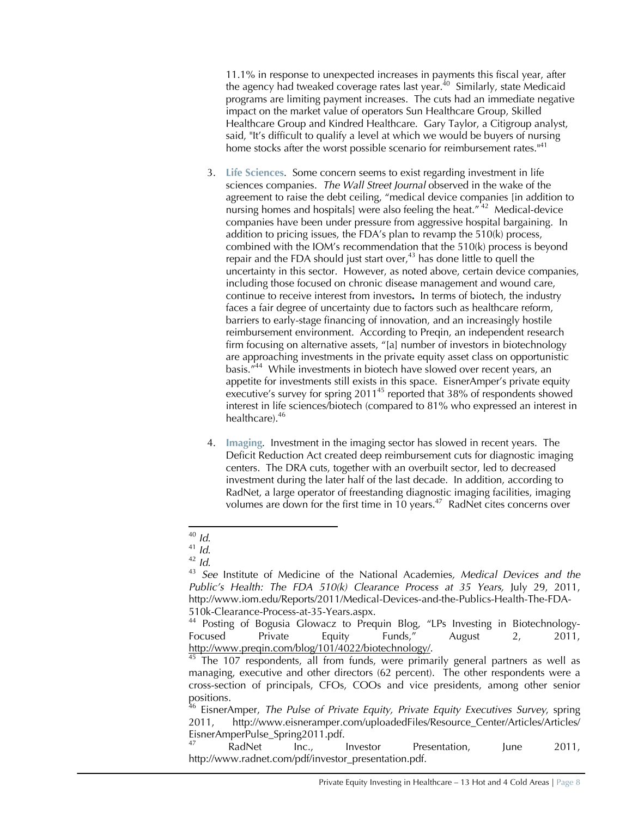11.1% in response to unexpected increases in payments this fiscal year, after the agency had tweaked coverage rates last year.<sup>40</sup> Similarly, state Medicaid programs are limiting payment increases. The cuts had an immediate negative impact on the market value of operators Sun Healthcare Group, Skilled Healthcare Group and Kindred Healthcare. Gary Taylor, a Citigroup analyst, said, "It's difficult to qualify a level at which we would be buyers of nursing home stocks after the worst possible scenario for reimbursement rates."<sup>41</sup>

- 3. **Life Sciences**. Some concern seems to exist regarding investment in life sciences companies. *The Wall Street Journal* observed in the wake of the agreement to raise the debt ceiling, "medical device companies [in addition to nursing homes and hospitals] were also feeling the heat."<sup>42</sup> Medical-device companies have been under pressure from aggressive hospital bargaining. In addition to pricing issues, the FDA's plan to revamp the 510(k) process, combined with the IOM's recommendation that the 510(k) process is beyond repair and the FDA should just start over,  $43$  has done little to quell the uncertainty in this sector. However, as noted above, certain device companies, including those focused on chronic disease management and wound care, continue to receive interest from investors**.** In terms of biotech, the industry faces a fair degree of uncertainty due to factors such as healthcare reform, barriers to early-stage financing of innovation, and an increasingly hostile reimbursement environment. According to Preqin, an independent research firm focusing on alternative assets, "[a] number of investors in biotechnology are approaching investments in the private equity asset class on opportunistic basis."<sup>44</sup> While investments in biotech have slowed over recent years, an appetite for investments still exists in this space. EisnerAmper's private equity executive's survey for spring 2011<sup>45</sup> reported that 38% of respondents showed interest in life sciences/biotech (compared to 81% who expressed an interest in healthcare).<sup>46</sup>
- 4. **Imaging**. Investment in the imaging sector has slowed in recent years. The Deficit Reduction Act created deep reimbursement cuts for diagnostic imaging centers. The DRA cuts, together with an overbuilt sector, led to decreased investment during the later half of the last decade. In addition, according to RadNet, a large operator of freestanding diagnostic imaging facilities, imaging volumes are down for the first time in 10 years. $47$  RadNet cites concerns over

<sup>46</sup> EisnerAmper, *The Pulse of Private Equity, Private Equity Executives Survey*, spring 2011, [http://](http://www.eisneramper.com/uploadedFiles/Resource_Center/Articles/Articles/)[www.eisneramper.com/uploadedFiles/Resource\\_Center/Articles/Articles/](www.eisneramper.com/uploadedFiles/Resource_Center/Articles/Articles/) EisnerAmperPulse\_Spring2011.pdf.

RadNet Inc., Investor Presentation, June 2011, [http://w](http://www.radnet.com/pdf/investor_presentation.pdf.)[ww.radnet.com/pdf/investor\\_presentation.pdf.](www.radnet.com/pdf/investor_presentation.pdf.)

<sup>40</sup> *Id*.

<sup>41</sup> *Id*.

 $\frac{42}{43}$  *Id.* 

<sup>43</sup> *See* Institute of Medicine of the National Academies*, Medical Devices and the Public's Health: The FDA 510(k) Clearance Process at 35 Years,* July 29, 2011, [http://w](http://www.iom.edu/Reports/2011/Medical-Devices-and-the-Publics-Health-The-FDA-)[ww.iom.edu/Reports/2011/Medical-Devices-and-the-Publics-Health-The-FDA-](www.iom.edu/Reports/2011/Medical-Devices-and-the-Publics-Health-The-FDA-)510k-Clearance-Process-at-35-Years.aspx.

<sup>&</sup>lt;sup>44</sup> Posting of Bogusia Glowacz to Prequin Blog, "LPs Investing in Biotechnology-Focused Private Equity Funds," August 2, 2011, [http://w](http://www.preqin.com/blog/101/4022/biotechnology/)[ww.preqin.com/blog/101/4022/biotechnology/.](www.preqin.com/blog/101/4022/biotechnology/)

The 107 respondents, all from funds, were primarily general partners as well as managing, executive and other directors (62 percent). The other respondents were a cross-section of principals, CFOs, COOs and vice presidents, among other senior positions.